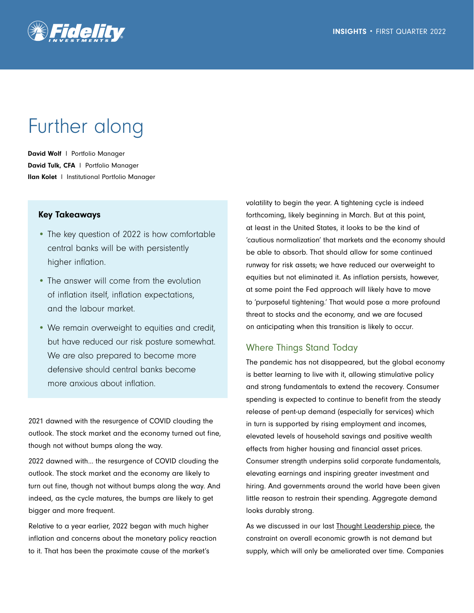

# Further along

David Wolf | Portfolio Manager David Tulk, CFA | Portfolio Manager Ilan Kolet l Institutional Portfolio Manager

## Key Takeaways

- The key question of 2022 is how comfortable central banks will be with persistently higher inflation.
- The answer will come from the evolution of inflation itself, inflation expectations, and the labour market.
- We remain overweight to equities and credit, but have reduced our risk posture somewhat. We are also prepared to become more defensive should central banks become more anxious about inflation.

2021 dawned with the resurgence of COVID clouding the outlook. The stock market and the economy turned out fine, though not without bumps along the way.

2022 dawned with… the resurgence of COVID clouding the outlook. The stock market and the economy are likely to turn out fine, though not without bumps along the way. And indeed, as the cycle matures, the bumps are likely to get bigger and more frequent.

Relative to a year earlier, 2022 began with much higher inflation and concerns about the monetary policy reaction to it. That has been the proximate cause of the market's

volatility to begin the year. A tightening cycle is indeed forthcoming, likely beginning in March. But at this point, at least in the United States, it looks to be the kind of 'cautious normalization' that markets and the economy should be able to absorb. That should allow for some continued runway for risk assets; we have reduced our overweight to equities but not eliminated it. As inflation persists, however, at some point the Fed approach will likely have to move to 'purposeful tightening.' That would pose a more profound threat to stocks and the economy, and we are focused on anticipating when this transition is likely to occur.

## Where Things Stand Today

The pandemic has not disappeared, but the global economy is better learning to live with it, allowing stimulative policy and strong fundamentals to extend the recovery. Consumer spending is expected to continue to benefit from the steady release of pent-up demand (especially for services) which in turn is supported by rising employment and incomes, elevated levels of household savings and positive wealth effects from higher housing and financial asset prices. Consumer strength underpins solid corporate fundamentals, elevating earnings and inspiring greater investment and hiring. And governments around the world have been given little reason to restrain their spending. Aggregate demand looks durably strong.

As we discussed in our last [Thought Leadership piece,](https://www.fidelity.ca/cs/Satellite/doc/tl-asset-allocation-q42021-inflation-consequences.pdf) the constraint on overall economic growth is not demand but supply, which will only be ameliorated over time. Companies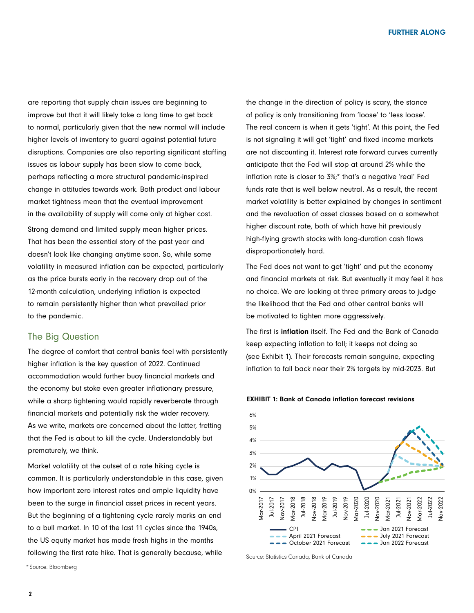are reporting that supply chain issues are beginning to improve but that it will likely take a long time to get back to normal, particularly given that the new normal will include higher levels of inventory to guard against potential future disruptions. Companies are also reporting significant staffing issues as labour supply has been slow to come back, perhaps reflecting a more structural pandemic-inspired change in attitudes towards work. Both product and labour market tightness mean that the eventual improvement in the availability of supply will come only at higher cost.

Strong demand and limited supply mean higher prices. That has been the essential story of the past year and doesn't look like changing anytime soon. So, while some volatility in measured inflation can be expected, particularly as the price bursts early in the recovery drop out of the 12-month calculation, underlying inflation is expected to remain persistently higher than what prevailed prior to the pandemic.

## The Big Question

The degree of comfort that central banks feel with persistently higher inflation is the key question of 2022. Continued accommodation would further buoy financial markets and the economy but stoke even greater inflationary pressure, while a sharp tightening would rapidly reverberate through financial markets and potentially risk the wider recovery. As we write, markets are concerned about the latter, fretting that the Fed is about to kill the cycle. Understandably but prematurely, we think.

Market volatility at the outset of a rate hiking cycle is common. It is particularly understandable in this case, given how important zero interest rates and ample liquidity have been to the surge in financial asset prices in recent years. But the beginning of a tightening cycle rarely marks an end to a bull market. In 10 of the last 11 cycles since the 1940s, the US equity market has made fresh highs in the months following the first rate hike. That is generally because, while

the change in the direction of policy is scary, the stance of policy is only transitioning from 'loose' to 'less loose'. The real concern is when it gets 'tight'. At this point, the Fed is not signaling it will get 'tight' and fixed income markets are not discounting it. Interest rate forward curves currently anticipate that the Fed will stop at around 2% while the inflation rate is closer to 3%;\* that's a negative 'real' Fed funds rate that is well below neutral. As a result, the recent market volatility is better explained by changes in sentiment and the revaluation of asset classes based on a somewhat higher discount rate, both of which have hit previously high-flying growth stocks with long-duration cash flows disproportionately hard.

The Fed does not want to get 'tight' and put the economy and financial markets at risk. But eventually it may feel it has no choice. We are looking at three primary areas to judge the likelihood that the Fed and other central banks will be motivated to tighten more aggressively.

The first is inflation itself. The Fed and the Bank of Canada keep expecting inflation to fall; it keeps not doing so (see Exhibit 1). Their forecasts remain sanguine, expecting inflation to fall back near their 2% targets by mid-2023. But



#### EXHIBIT 1: Bank of Canada inflation forecast revisions

Source: Statistics Canada, Bank of Canada

\* Source: Bloomberg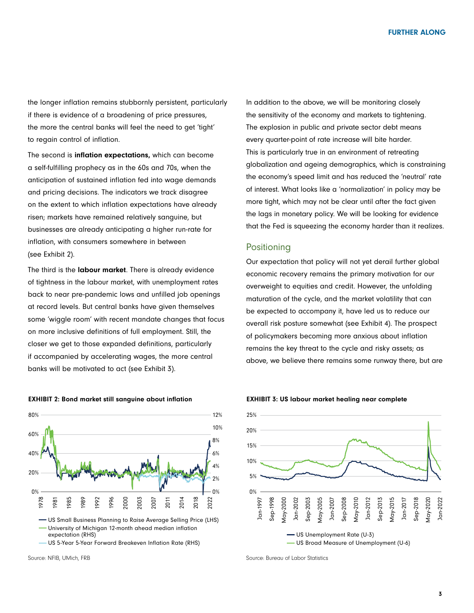the longer inflation remains stubbornly persistent, particularly if there is evidence of a broadening of price pressures, the more the central banks will feel the need to get 'tight' to regain control of inflation.

The second is inflation expectations, which can become a self-fulfilling prophecy as in the 60s and 70s, when the anticipation of sustained inflation fed into wage demands and pricing decisions. The indicators we track disagree on the extent to which inflation expectations have already risen; markets have remained relatively sanguine, but businesses are already anticipating a higher run-rate for inflation, with consumers somewhere in between (see Exhibit 2).

The third is the labour market. There is already evidence of tightness in the labour market, with unemployment rates back to near pre-pandemic lows and unfilled job openings at record levels. But central banks have given themselves some 'wiggle room' with recent mandate changes that focus on more inclusive definitions of full employment. Still, the closer we get to those expanded definitions, particularly if accompanied by accelerating wages, the more central banks will be motivated to act (see Exhibit 3).



US 5-Year 5-Year Forward Breakeven Inflation Rate (RHS)

In addition to the above, we will be monitoring closely the sensitivity of the economy and markets to tightening. The explosion in public and private sector debt means every quarter-point of rate increase will bite harder. This is particularly true in an environment of retreating globalization and ageing demographics, which is constraining the economy's speed limit and has reduced the 'neutral' rate of interest. What looks like a 'normalization' in policy may be more tight, which may not be clear until after the fact given the lags in monetary policy. We will be looking for evidence that the Fed is squeezing the economy harder than it realizes.

## **Positioning**

Our expectation that policy will not yet derail further global economic recovery remains the primary motivation for our overweight to equities and credit. However, the unfolding maturation of the cycle, and the market volatility that can be expected to accompany it, have led us to reduce our overall risk posture somewhat (see Exhibit 4). The prospect of policymakers becoming more anxious about inflation remains the key threat to the cycle and risky assets; as above, we believe there remains some runway there, but are



EXHIBIT 3: US labour market healing near complete

Source: Bureau of Labor Statistics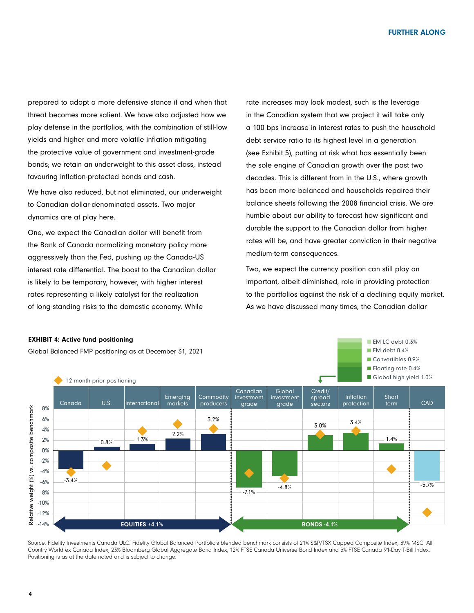prepared to adopt a more defensive stance if and when that threat becomes more salient. We have also adjusted how we play defense in the portfolios, with the combination of still-low yields and higher and more volatile inflation mitigating the protective value of government and investment-grade bonds; we retain an underweight to this asset class, instead favouring inflation-protected bonds and cash.

We have also reduced, but not eliminated, our underweight to Canadian dollar-denominated assets. Two major dynamics are at play here.

One, we expect the Canadian dollar will benefit from the Bank of Canada normalizing monetary policy more aggressively than the Fed, pushing up the Canada-US interest rate differential. The boost to the Canadian dollar is likely to be temporary, however, with higher interest rates representing a likely catalyst for the realization of long-standing risks to the domestic economy. While

rate increases may look modest, such is the leverage in the Canadian system that we project it will take only a 100 bps increase in interest rates to push the household debt service ratio to its highest level in a generation (see Exhibit 5), putting at risk what has essentially been the sole engine of Canadian growth over the past two decades. This is different from in the U.S., where growth has been more balanced and households repaired their balance sheets following the 2008 financial crisis. We are humble about our ability to forecast how significant and durable the support to the Canadian dollar from higher rates will be, and have greater conviction in their negative medium-term consequences.

Two, we expect the currency position can still play an important, albeit diminished, role in providing protection to the portfolios against the risk of a declining equity market. As we have discussed many times, the Canadian dollar



Source: Fidelity Investments Canada ULC. Fidelity Global Balanced Portfolio's blended benchmark consists of 21% S&P/TSX Capped Composite Index, 39% MSCI All Country World ex Canada Index, 23% Bloomberg Global Aggregate Bond Index, 12% FTSE Canada Universe Bond Index and 5% FTSE Canada 91-Day T-Bill Index. Positioning is as at the date noted and is subject to change.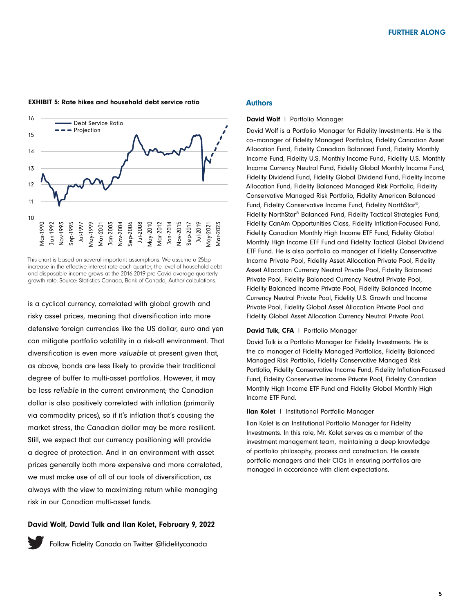

EXHIBIT 5: Rate hikes and household debt service ratio

This chart is based on several important assumptions. We assume a 25bp increase in the effective interest rate each quarter, the level of household debt and disposable income grows at the 2016-2019 pre-Covid average quarterly growth rate. Source: Statistics Canada, Bank of Canada, Author calculations.

is a cyclical currency, correlated with global growth and risky asset prices, meaning that diversification into more defensive foreign currencies like the US dollar, euro and yen can mitigate portfolio volatility in a risk-off environment. That diversification is even more *valuable* at present given that, as above, bonds are less likely to provide their traditional degree of buffer to multi-asset portfolios. However, it may be less *reliable* in the current environment; the Canadian dollar is also positively correlated with inflation (primarily via commodity prices), so if it's inflation that's causing the market stress, the Canadian dollar may be more resilient. Still, we expect that our currency positioning will provide a degree of protection. And in an environment with asset prices generally both more expensive and more correlated, we must make use of all of our tools of diversification, as always with the view to maximizing return while managing risk in our Canadian multi-asset funds.

## David Wolf, David Tulk and Ilan Kolet, February 9, 2022



[Follow Fidelity Canada on Twitter @fidelitycanada](https://twitter.com/fidelitycanada)

### Authors

#### David Wolf | Portfolio Manager

David Wolf is a Portfolio Manager for Fidelity Investments. He is the co–manager of Fidelity Managed Portfolios, Fidelity Canadian Asset Allocation Fund, Fidelity Canadian Balanced Fund, Fidelity Monthly Income Fund, Fidelity U.S. Monthly Income Fund, Fidelity U.S. Monthly Income Currency Neutral Fund, Fidelity Global Monthly Income Fund, Fidelity Dividend Fund, Fidelity Global Dividend Fund, Fidelity Income Allocation Fund, Fidelity Balanced Managed Risk Portfolio, Fidelity Conservative Managed Risk Portfolio, Fidelity American Balanced Fund, Fidelity Conservative Income Fund, Fidelity NorthStar®, Fidelity NorthStar® Balanced Fund, Fidelity Tactical Strategies Fund, Fidelity CanAm Opportunities Class, Fidelity Inflation-Focused Fund, Fidelity Canadian Monthly High Income ETF Fund, Fidelity Global Monthly High Income ETF Fund and Fidelity Tactical Global Dividend ETF Fund. He is also portfolio co manager of Fidelity Conservative Income Private Pool, Fidelity Asset Allocation Private Pool, Fidelity Asset Allocation Currency Neutral Private Pool, Fidelity Balanced Private Pool, Fidelity Balanced Currency Neutral Private Pool, Fidelity Balanced Income Private Pool, Fidelity Balanced Income Currency Neutral Private Pool, Fidelity U.S. Growth and Income Private Pool, Fidelity Global Asset Allocation Private Pool and Fidelity Global Asset Allocation Currency Neutral Private Pool.

#### David Tulk, CFA | Portfolio Manager

David Tulk is a Portfolio Manager for Fidelity Investments. He is the co manager of Fidelity Managed Portfolios, Fidelity Balanced Managed Risk Portfolio, Fidelity Conservative Managed Risk Portfolio, Fidelity Conservative Income Fund, Fidelity Inflation-Focused Fund, Fidelity Conservative Income Private Pool, Fidelity Canadian Monthly High Income ETF Fund and Fidelity Global Monthly High Income ETF Fund.

### Ilan Kolet l Institutional Portfolio Manager

Ilan Kolet is an Institutional Portfolio Manager for Fidelity Investments. In this role, Mr. Kolet serves as a member of the investment management team, maintaining a deep knowledge of portfolio philosophy, process and construction. He assists portfolio managers and their CIOs in ensuring portfolios are managed in accordance with client expectations.